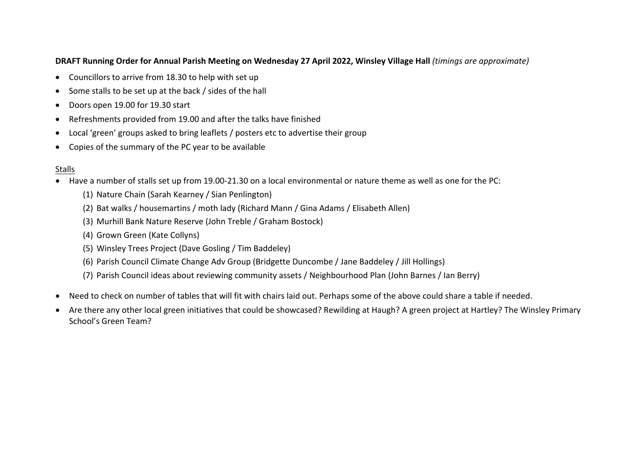## **DRAFT Running Order for Annual Parish Meeting on Wednesday 27 April 2022, Winsley Village Hall** *(timings are approximate)*

- Councillors to arrive from 18.30 to help with set up
- Some stalls to be set up at the back / sides of the hall
- Doors open 19.00 for 19.30 start
- Refreshments provided from 19.00 and after the talks have finished
- Local 'green' groups asked to bring leaflets / posters etc to advertise their group
- Copies of the summary of the PC year to be available

## Stalls

- Have a number of stalls set up from 19.00-21.30 on a local environmental or nature theme as well as one for the PC:
	- (1) Nature Chain (Sarah Kearney / Sian Penlington)
	- (2) Bat walks / housemartins / moth lady (Richard Mann / Gina Adams / Elisabeth Allen)
	- (3) Murhill Bank Nature Reserve (John Treble / Graham Bostock)
	- (4) Grown Green (Kate Collyns)
	- (5) Winsley Trees Project (Dave Gosling / Tim Baddeley)
	- (6) Parish Council Climate Change Adv Group (Bridgette Duncombe / Jane Baddeley / Jill Hollings)
	- (7) Parish Council ideas about reviewing community assets / Neighbourhood Plan (John Barnes / Ian Berry)
- Need to check on number of tables that will fit with chairs laid out. Perhaps some of the above could share a table if needed.
- Are there any other local green initiatives that could be showcased? Rewilding at Haugh? A green project at Hartley? The Winsley Primary School's Green Team?